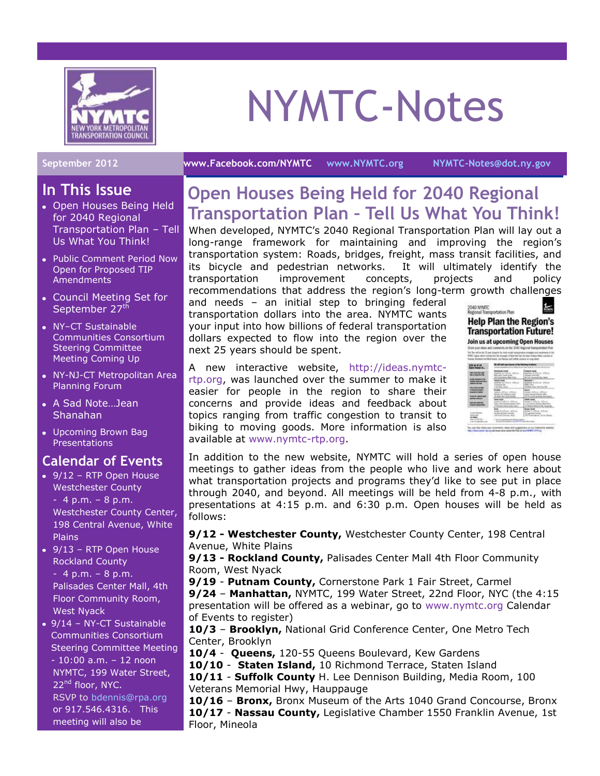

# NYMTC-Notes

#### **September 2012 [www.Facebook.com/NYMTC](http://www.facebook.com/NYMTC) [www.NYMTC.org](http://www.nymtc.org/) [NYMTC-Notes@dot.ny.gov](mailto:NYMTC-Notes@dot.ny.gov)**

#### **In This Issue**

- Open Houses Being Held for 2040 Regional Transportation Plan – Tell Us What You Think!
- Public Comment Period Now Open for Proposed TIP **Amendments**
- Council Meeting Set for September 27<sup>th</sup>
- NY–CT Sustainable Communities Consortium Steering Committee Meeting Coming Up
- NY-NJ-CT Metropolitan Area Planning Forum
- A Sad Note…Jean Shanahan
- Upcoming Brown Bag Presentations

### **Calendar of Events**

- 9/12 RTP Open House Westchester County  $-4$  p.m.  $-8$  p.m. Westchester County Center, 198 Central Avenue, White Plains
- 9/13 RTP Open House Rockland County - 4 p.m. – 8 p.m. Palisades Center Mall, 4th Floor Community Room, West Nyack
- 9/14 NY-CT Sustainable Communities Consortium Steering Committee Meeting - 10:00 a.m. – 12 noon NYMTC, 199 Water Street, 22<sup>nd</sup> floor, NYC. RSVP to [bdennis@rpa.org](mailto:bdennis@rpa.org) or 917.546.4316. This meeting will also be

## **Open Houses Being Held for 2040 Regional Transportation Plan – Tell Us What You Think!**

When developed, NYMTC's 2040 Regional Transportation Plan will lay out a long-range framework for maintaining and improving the region's transportation system: Roads, bridges, freight, mass transit facilities, and its bicycle and pedestrian networks. It will ultimately identify the transportation improvement concepts, projects and policy recommendations that address the region's long-term growth challenges

and needs – an initial step to bringing federal transportation dollars into the area. NYMTC wants your input into how billions of federal transportation dollars expected to flow into the region over the next 25 years should be spent.

2040 NYMTC<br>Regional Transportation Plan **Help Plan the Region's Transportation Future! Join us at upcoming Open Houses** Tot The editor I **BRAKE** det per bei set pote (med) To can our show you

A new interactive website, [http://ideas.nymtc](http://ideas.nymtc-rtp.org/)[rtp.org,](http://ideas.nymtc-rtp.org/) was launched over the summer to make it easier for people in the region to share their concerns and provide ideas and feedback about topics ranging from traffic congestion to transit to biking to moving goods. More information is also available at [www.nymtc-rtp.org.](http://www.nymtc-rtp.org/)

In addition to the new website, NYMTC will hold a series of open house meetings to gather ideas from the people who live and work here about what transportation projects and programs they'd like to see put in place through 2040, and beyond. All meetings will be held from 4-8 p.m., with presentations at 4:15 p.m. and 6:30 p.m. Open houses will be held as follows:

**9/12 - Westchester County,** Westchester County Center, 198 Central Avenue, White Plains

**9/13 - Rockland County,** Palisades Center Mall 4th Floor Community Room, West Nyack

**9/19** - **Putnam County,** Cornerstone Park 1 Fair Street, Carmel

**9/24** – **Manhattan,** NYMTC, 199 Water Street, 22nd Floor, NYC (the 4:15 presentation will be offered as a webinar, go to [www.nymtc.org](http://www.nymtc.org/) Calendar of Events to register)

**10/3** – **Brooklyn,** National Grid Conference Center, One Metro Tech Center, Brooklyn

**10/4** - **Queens,** 120-55 Queens Boulevard, Kew Gardens

**10/10** - **Staten Island,** 10 Richmond Terrace, Staten Island

**10/11** - **Suffolk County** H. Lee Dennison Building, Media Room, 100 Veterans Memorial Hwy, Hauppauge

**10/16** – **Bronx,** Bronx Museum of the Arts 1040 Grand Concourse, Bronx **10/17** - **Nassau County,** Legislative Chamber 1550 Franklin Avenue, 1st Floor, Mineola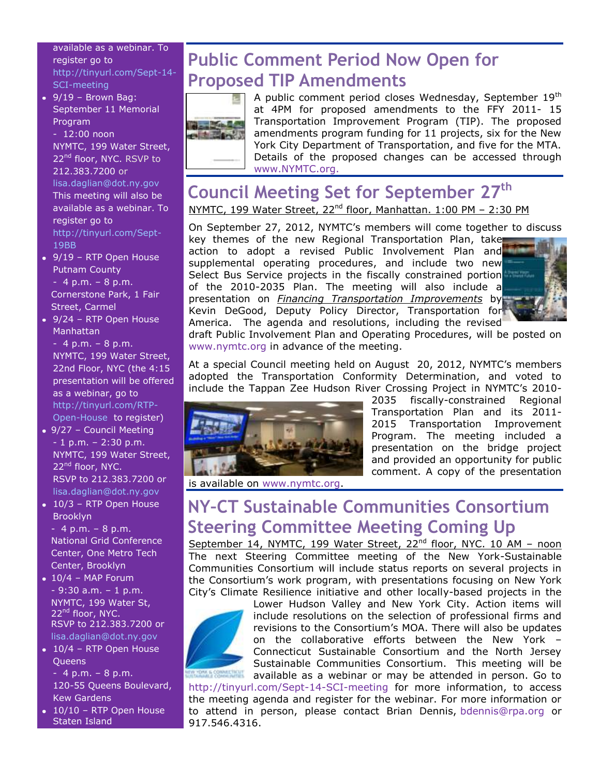available as a webinar. To register go to [http://tinyurl.com/Sept-14-](http://tinyurl.com/Sept-14-SCI-meeting) [SCI-meeting](http://tinyurl.com/Sept-14-SCI-meeting)

 $\bullet$  9/19 - Brown Bag: September 11 Memorial Program - 12:00 noon NYMTC, 199 Water Street, 22<sup>nd</sup> floor, NYC. RSVP to 212.383.7200 or [lisa.daglian@dot.ny.gov](mailto:lisa.daglian@dot.ny.gov)

This meeting will also be available as a webinar. To register go to [http://tinyurl.com/Sept-](http://tinyurl.com/Sept-19BB)[19BB](http://tinyurl.com/Sept-19BB)

- 9/19 RTP Open House Putnam County  $-4$  p.m.  $-8$  p.m. Cornerstone Park, 1 Fair Street, Carmel
- 9/24 RTP Open House Manhattan

 $-4$  p.m.  $-8$  p.m. NYMTC, 199 Water Street, 22nd Floor, NYC (the 4:15 presentation will be offered as a webinar, go to [http://tinyurl.com/RTP-](http://tinyurl.com/RTP-Open-House)[Open-House](http://tinyurl.com/RTP-Open-House) to register)

- 9/27 Council Meeting - 1 p.m. – 2:30 p.m. NYMTC, 199 Water Street, 22<sup>nd</sup> floor, NYC. RSVP to 212.383.7200 or [lisa.daglian@dot.ny.gov](mailto:ldaglian@dot.state.ny.us)
- 10/3 RTP Open House Brooklyn

 $-4$  p.m.  $-8$  p.m. National Grid Conference Center, One Metro Tech Center, Brooklyn

- $\cdot$  10/4 MAP Forum  $-9:30$  a.m.  $-1$  p.m. NYMTC, 199 Water St, 22<sup>nd</sup> floor, NYC. RSVP to 212.383.7200 or [lisa.daglian@dot.ny.gov](mailto:lisa.daglian@dot.ny.gov)
- $\cdot$  10/4 RTP Open House **Queens**

 $-4$  p.m.  $-8$  p.m. 120-55 Queens Boulevard, Kew Gardens

 $\bullet$  10/10 – RTP Open House Staten Island

# **Public Comment Period Now Open for Proposed TIP Amendments**



A public comment period closes Wednesday, September 19<sup>th</sup> at 4PM for proposed amendments to the FFY 2011- 15 Transportation Improvement Program (TIP). The proposed amendments program funding for 11 projects, six for the New York City Department of Transportation, and five for the MTA. Details of the proposed changes can be accessed through [www.NYMTC.org.](http://www.nymtc.org/)

## **Council Meeting Set for September 27th** NYMTC, 199 Water Street, 22<sup>nd</sup> floor, Manhattan. 1:00 PM - 2:30 PM

On September 27, 2012, NYMTC's members will come together to discuss

key themes of the new Regional Transportation Plan, take action to adopt a revised Public Involvement Plan and supplemental operating procedures, and include two new Select Bus Service projects in the fiscally constrained portion of the 2010-2035 Plan. The meeting will also include a presentation on *Financing Transportation Improvements* by Kevin DeGood, Deputy Policy Director, Transportation for America. The agenda and resolutions, including the revised



draft Public Involvement Plan and Operating Procedures, will be posted on [www.nymtc.org](http://www.nymtc.org/) in advance of the meeting.

At a special Council meeting held on August 20, 2012, NYMTC's members adopted the Transportation Conformity Determination, and voted to include the Tappan Zee Hudson River Crossing Project in NYMTC's 2010-



2035 fiscally-constrained Regional Transportation Plan and its 2011- 2015 Transportation Improvement Program. The meeting included a presentation on the bridge project and provided an opportunity for public comment. A copy of the presentation

is available on [www.nymtc.org.](http://www.nymtc.org/)

## **NY–CT Sustainable Communities Consortium Steering Committee Meeting Coming Up**

September 14, NYMTC, 199 Water Street, 22<sup>nd</sup> floor, NYC. 10 AM - noon The next Steering Committee meeting of the New York-Sustainable Communities Consortium will include status reports on several projects in the Consortium's work program, with presentations focusing on New York City's Climate Resilience initiative and other locally-based projects in the



Lower Hudson Valley and New York City. Action items will include resolutions on the selection of professional firms and revisions to the Consortium's MOA. There will also be updates on the collaborative efforts between the New York – Connecticut Sustainable Consortium and the North Jersey Sustainable Communities Consortium. This meeting will be available as a webinar or may be attended in person. Go to

<http://tinyurl.com/Sept-14-SCI-meeting> for more information, to access the meeting agenda and register for the webinar. For more information or to attend in person, please contact Brian Dennis, [bdennis@rpa.org](mailto:bdennis@rpa.org) or 917.546.4316.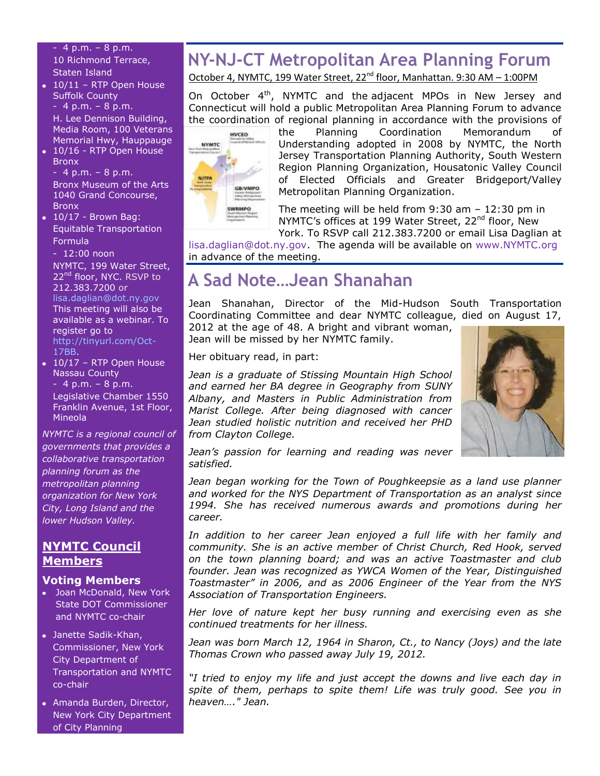- 4 p.m. – 8 p.m. 10 Richmond Terrace, Staten Island

 $\cdot$  10/11 – RTP Open House Suffolk County

 $-4 p.m. - 8 p.m.$ H. Lee Dennison Building, Media Room, 100 Veterans Memorial Hwy, Hauppauge

• 10/16 - RTP Open House Bronx

 $-4$  p.m.  $-8$  p.m. Bronx Museum of the Arts 1040 Grand Concourse, Bronx

 $\bullet$  10/17 - Brown Bag: Equitable Transportation Formula

- 12:00 noon NYMTC, 199 Water Street, 22<sup>nd</sup> floor, NYC. RSVP to 212.383.7200 or [lisa.daglian@dot.ny.gov](mailto:lisa.daglian@dot.ny.gov)  This meeting will also be available as a webinar. To register go to [http://tinyurl.com/Oct-](http://tinyurl.com/Oct-17BB)[17BB.](http://tinyurl.com/Oct-17BB)

 $\overline{\bullet}$  10/17 – RTP Open House Nassau County

 $-4$  p.m.  $-8$  p.m. Legislative Chamber 1550 Franklin Avenue, 1st Floor, Mineola

*NYMTC is a regional council of governments that provides a collaborative transportation planning forum as the metropolitan planning organization for New York City, Long Island and the lower Hudson Valley.*

#### **NYMTC Council Members**

#### **Voting Members**

- Joan McDonald, New York State DOT Commissioner and NYMTC co-chair
- Janette Sadik-Khan, Commissioner, New York City Department of Transportation and NYMTC co-chair
- Amanda Burden, Director, New York City Department of City Planning

## **NY-NJ-CT Metropolitan Area Planning Forum**

October 4, NYMTC, 199 Water Street, 22<sup>nd</sup> floor, Manhattan. 9:30 AM - 1:00PM

On October 4<sup>th</sup>, NYMTC and the adjacent MPOs in New Jersey and Connecticut will hold a public Metropolitan Area Planning Forum to advance the coordination of regional planning in accordance with the provisions of



the Planning Coordination Memorandum Understanding adopted in 2008 by NYMTC, the North Jersey Transportation Planning Authority, South Western Region Planning Organization, Housatonic Valley Council of Elected Officials and Greater Bridgeport/Valley Metropolitan Planning Organization.

The meeting will be held from 9:30 am – 12:30 pm in NYMTC's offices at 199 Water Street, 22<sup>nd</sup> floor, New York. To RSVP call 212.383.7200 or email Lisa Daglian at

[lisa.daglian@dot.ny.gov.](mailto:lisa.daglian@dot.ny.gov) The agenda will be available on [www.NYMTC.org](http://www.nymtc.org/) in advance of the meeting.

## **A Sad Note…Jean Shanahan**

Jean Shanahan, Director of the Mid-Hudson South Transportation Coordinating Committee and dear NYMTC colleague, died on August 17,

2012 at the age of 48. A bright and vibrant woman, Jean will be missed by her NYMTC family.

Her obituary read, in part:

*Jean is a graduate of Stissing Mountain High School and earned her BA degree in Geography from SUNY Albany, and Masters in Public Administration from Marist College. After being diagnosed with cancer Jean studied holistic nutrition and received her PHD from Clayton College.* 



*Jean's passion for learning and reading was never satisfied.*

*Jean began working for the Town of Poughkeepsie as a land use planner and worked for the NYS Department of Transportation as an analyst since 1994. She has received numerous awards and promotions during her career.*

*In addition to her career Jean enjoyed a full life with her family and community. She is an active member of Christ Church, Red Hook, served on the town planning board; and was an active Toastmaster and club founder. Jean was recognized as YWCA Women of the Year, Distinguished Toastmaster" in 2006, and as 2006 Engineer of the Year from the NYS Association of Transportation Engineers.* 

*Her love of nature kept her busy running and exercising even as she continued treatments for her illness.*

*Jean was born March 12, 1964 in Sharon, Ct., to Nancy (Joys) and the late Thomas Crown who passed away July 19, 2012.*

*"I tried to enjoy my life and just accept the downs and live each day in spite of them, perhaps to spite them! Life was truly good. See you in heaven…." Jean.*